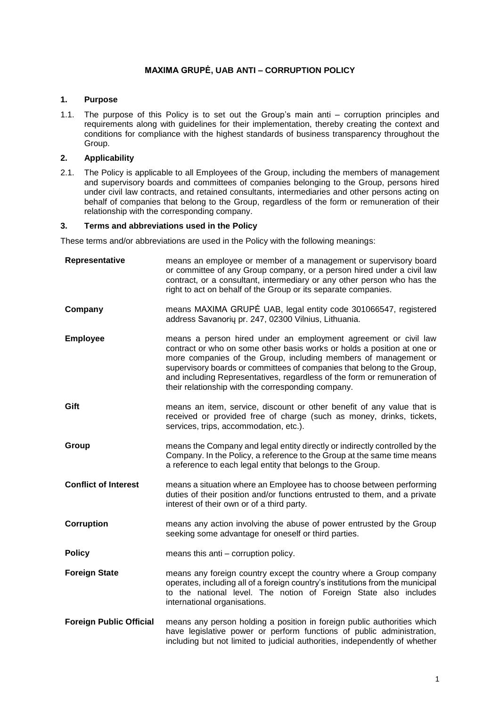# **MAXIMA GRUPĖ, UAB ANTI – CORRUPTION POLICY**

## **1. Purpose**

1.1. The purpose of this Policy is to set out the Group's main anti – corruption principles and requirements along with guidelines for their implementation, thereby creating the context and conditions for compliance with the highest standards of business transparency throughout the Group.

# **2. Applicability**

2.1. The Policy is applicable to all Employees of the Group, including the members of management and supervisory boards and committees of companies belonging to the Group, persons hired under civil law contracts, and retained consultants, intermediaries and other persons acting on behalf of companies that belong to the Group, regardless of the form or remuneration of their relationship with the corresponding company.

### **3. Terms and abbreviations used in the Policy**

These terms and/or abbreviations are used in the Policy with the following meanings:

| Representative                 | means an employee or member of a management or supervisory board<br>or committee of any Group company, or a person hired under a civil law<br>contract, or a consultant, intermediary or any other person who has the<br>right to act on behalf of the Group or its separate companies.                                                                                                                                    |
|--------------------------------|----------------------------------------------------------------------------------------------------------------------------------------------------------------------------------------------------------------------------------------------------------------------------------------------------------------------------------------------------------------------------------------------------------------------------|
| Company                        | means MAXIMA GRUPE UAB, legal entity code 301066547, registered<br>address Savanorių pr. 247, 02300 Vilnius, Lithuania.                                                                                                                                                                                                                                                                                                    |
| <b>Employee</b>                | means a person hired under an employment agreement or civil law<br>contract or who on some other basis works or holds a position at one or<br>more companies of the Group, including members of management or<br>supervisory boards or committees of companies that belong to the Group,<br>and including Representatives, regardless of the form or remuneration of<br>their relationship with the corresponding company. |
| Gift                           | means an item, service, discount or other benefit of any value that is<br>received or provided free of charge (such as money, drinks, tickets,<br>services, trips, accommodation, etc.).                                                                                                                                                                                                                                   |
| Group                          | means the Company and legal entity directly or indirectly controlled by the<br>Company. In the Policy, a reference to the Group at the same time means<br>a reference to each legal entity that belongs to the Group.                                                                                                                                                                                                      |
| <b>Conflict of Interest</b>    | means a situation where an Employee has to choose between performing<br>duties of their position and/or functions entrusted to them, and a private<br>interest of their own or of a third party.                                                                                                                                                                                                                           |
| Corruption                     | means any action involving the abuse of power entrusted by the Group<br>seeking some advantage for oneself or third parties.                                                                                                                                                                                                                                                                                               |
| <b>Policy</b>                  | means this anti - corruption policy.                                                                                                                                                                                                                                                                                                                                                                                       |
| <b>Foreign State</b>           | means any foreign country except the country where a Group company<br>operates, including all of a foreign country's institutions from the municipal<br>to the national level. The notion of Foreign State also includes<br>international organisations.                                                                                                                                                                   |
| <b>Foreign Public Official</b> | means any person holding a position in foreign public authorities which<br>have legislative power or perform functions of public administration,<br>including but not limited to judicial authorities, independently of whether                                                                                                                                                                                            |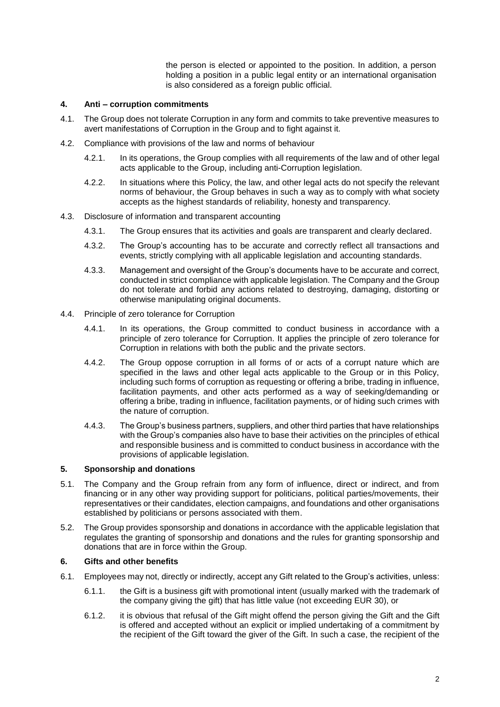the person is elected or appointed to the position. In addition, a person holding a position in a public legal entity or an international organisation is also considered as a foreign public official.

#### **4. Anti – corruption commitments**

- 4.1. The Group does not tolerate Corruption in any form and commits to take preventive measures to avert manifestations of Corruption in the Group and to fight against it.
- 4.2. Compliance with provisions of the law and norms of behaviour
	- 4.2.1. In its operations, the Group complies with all requirements of the law and of other legal acts applicable to the Group, including anti-Corruption legislation.
	- 4.2.2. In situations where this Policy, the law, and other legal acts do not specify the relevant norms of behaviour, the Group behaves in such a way as to comply with what society accepts as the highest standards of reliability, honesty and transparency.
- 4.3. Disclosure of information and transparent accounting
	- 4.3.1. The Group ensures that its activities and goals are transparent and clearly declared.
	- 4.3.2. The Group's accounting has to be accurate and correctly reflect all transactions and events, strictly complying with all applicable legislation and accounting standards.
	- 4.3.3. Management and oversight of the Group's documents have to be accurate and correct, conducted in strict compliance with applicable legislation. The Company and the Group do not tolerate and forbid any actions related to destroying, damaging, distorting or otherwise manipulating original documents.
- 4.4. Principle of zero tolerance for Corruption
	- 4.4.1. In its operations, the Group committed to conduct business in accordance with a principle of zero tolerance for Corruption. It applies the principle of zero tolerance for Corruption in relations with both the public and the private sectors.
	- 4.4.2. The Group oppose corruption in all forms of or acts of a corrupt nature which are specified in the laws and other legal acts applicable to the Group or in this Policy, including such forms of corruption as requesting or offering a bribe, trading in influence, facilitation payments, and other acts performed as a way of seeking/demanding or offering a bribe, trading in influence, facilitation payments, or of hiding such crimes with the nature of corruption.
	- 4.4.3. The Group's business partners, suppliers, and other third parties that have relationships with the Group's companies also have to base their activities on the principles of ethical and responsible business and is committed to conduct business in accordance with the provisions of applicable legislation.

### **5. Sponsorship and donations**

- 5.1. The Company and the Group refrain from any form of influence, direct or indirect, and from financing or in any other way providing support for politicians, political parties/movements, their representatives or their candidates, election campaigns, and foundations and other organisations established by politicians or persons associated with them.
- 5.2. The Group provides sponsorship and donations in accordance with the applicable legislation that regulates the granting of sponsorship and donations and the rules for granting sponsorship and donations that are in force within the Group.

### **6. Gifts and other benefits**

- 6.1. Employees may not, directly or indirectly, accept any Gift related to the Group's activities, unless:
	- 6.1.1. the Gift is a business gift with promotional intent (usually marked with the trademark of the company giving the gift) that has little value (not exceeding EUR 30), or
	- 6.1.2. it is obvious that refusal of the Gift might offend the person giving the Gift and the Gift is offered and accepted without an explicit or implied undertaking of a commitment by the recipient of the Gift toward the giver of the Gift. In such a case, the recipient of the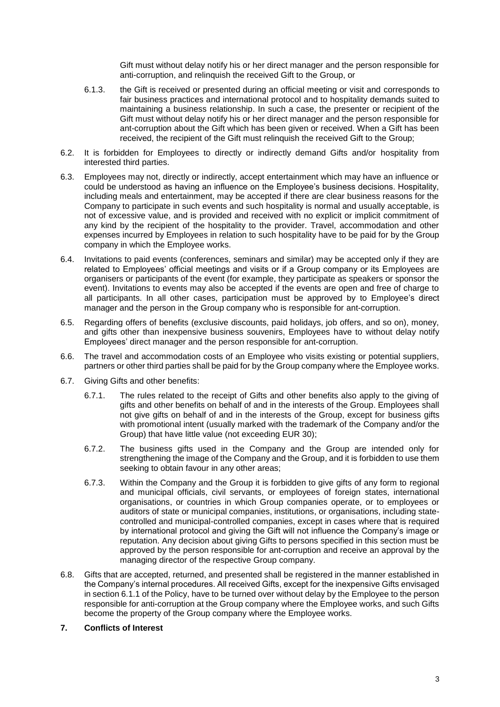Gift must without delay notify his or her direct manager and the person responsible for anti-corruption, and relinquish the received Gift to the Group, or

- 6.1.3. the Gift is received or presented during an official meeting or visit and corresponds to fair business practices and international protocol and to hospitality demands suited to maintaining a business relationship. In such a case, the presenter or recipient of the Gift must without delay notify his or her direct manager and the person responsible for ant-corruption about the Gift which has been given or received. When a Gift has been received, the recipient of the Gift must relinquish the received Gift to the Group;
- 6.2. It is forbidden for Employees to directly or indirectly demand Gifts and/or hospitality from interested third parties.
- 6.3. Employees may not, directly or indirectly, accept entertainment which may have an influence or could be understood as having an influence on the Employee's business decisions. Hospitality, including meals and entertainment, may be accepted if there are clear business reasons for the Company to participate in such events and such hospitality is normal and usually acceptable, is not of excessive value, and is provided and received with no explicit or implicit commitment of any kind by the recipient of the hospitality to the provider. Travel, accommodation and other expenses incurred by Employees in relation to such hospitality have to be paid for by the Group company in which the Employee works.
- 6.4. Invitations to paid events (conferences, seminars and similar) may be accepted only if they are related to Employees' official meetings and visits or if a Group company or its Employees are organisers or participants of the event (for example, they participate as speakers or sponsor the event). Invitations to events may also be accepted if the events are open and free of charge to all participants. In all other cases, participation must be approved by to Employee's direct manager and the person in the Group company who is responsible for ant-corruption.
- 6.5. Regarding offers of benefits (exclusive discounts, paid holidays, job offers, and so on), money, and gifts other than inexpensive business souvenirs, Employees have to without delay notify Employees' direct manager and the person responsible for ant-corruption.
- 6.6. The travel and accommodation costs of an Employee who visits existing or potential suppliers, partners or other third parties shall be paid for by the Group company where the Employee works.
- 6.7. Giving Gifts and other benefits:
	- 6.7.1. The rules related to the receipt of Gifts and other benefits also apply to the giving of gifts and other benefits on behalf of and in the interests of the Group. Employees shall not give gifts on behalf of and in the interests of the Group, except for business gifts with promotional intent (usually marked with the trademark of the Company and/or the Group) that have little value (not exceeding EUR 30);
	- 6.7.2. The business gifts used in the Company and the Group are intended only for strengthening the image of the Company and the Group, and it is forbidden to use them seeking to obtain favour in any other areas;
	- 6.7.3. Within the Company and the Group it is forbidden to give gifts of any form to regional and municipal officials, civil servants, or employees of foreign states, international organisations, or countries in which Group companies operate, or to employees or auditors of state or municipal companies, institutions, or organisations, including statecontrolled and municipal-controlled companies, except in cases where that is required by international protocol and giving the Gift will not influence the Company's image or reputation. Any decision about giving Gifts to persons specified in this section must be approved by the person responsible for ant-corruption and receive an approval by the managing director of the respective Group company.
- 6.8. Gifts that are accepted, returned, and presented shall be registered in the manner established in the Company's internal procedures. All received Gifts, except for the inexpensive Gifts envisaged in section 6.1.1 of the Policy, have to be turned over without delay by the Employee to the person responsible for anti-corruption at the Group company where the Employee works, and such Gifts become the property of the Group company where the Employee works.
- **7. Conflicts of Interest**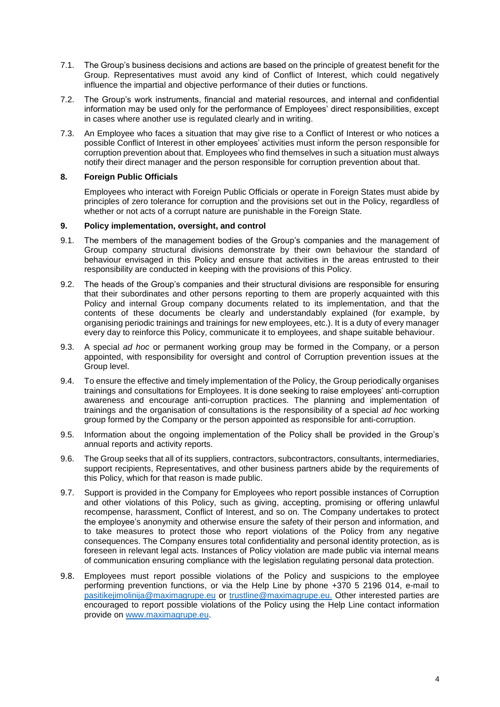- 7.1. The Group's business decisions and actions are based on the principle of greatest benefit for the Group. Representatives must avoid any kind of Conflict of Interest, which could negatively influence the impartial and objective performance of their duties or functions.
- 7.2. The Group's work instruments, financial and material resources, and internal and confidential information may be used only for the performance of Employees' direct responsibilities, except in cases where another use is regulated clearly and in writing.
- 7.3. An Employee who faces a situation that may give rise to a Conflict of Interest or who notices a possible Conflict of Interest in other employees' activities must inform the person responsible for corruption prevention about that. Employees who find themselves in such a situation must always notify their direct manager and the person responsible for corruption prevention about that.

### **8. Foreign Public Officials**

Employees who interact with Foreign Public Officials or operate in Foreign States must abide by principles of zero tolerance for corruption and the provisions set out in the Policy, regardless of whether or not acts of a corrupt nature are punishable in the Foreign State.

### **9. Policy implementation, oversight, and control**

- 9.1. The members of the management bodies of the Group's companies and the management of Group company structural divisions demonstrate by their own behaviour the standard of behaviour envisaged in this Policy and ensure that activities in the areas entrusted to their responsibility are conducted in keeping with the provisions of this Policy.
- 9.2. The heads of the Group's companies and their structural divisions are responsible for ensuring that their subordinates and other persons reporting to them are properly acquainted with this Policy and internal Group company documents related to its implementation, and that the contents of these documents be clearly and understandably explained (for example, by organising periodic trainings and trainings for new employees, etc.). It is a duty of every manager every day to reinforce this Policy, communicate it to employees, and shape suitable behaviour.
- 9.3. A special *ad hoc* or permanent working group may be formed in the Company, or a person appointed, with responsibility for oversight and control of Corruption prevention issues at the Group level.
- 9.4. To ensure the effective and timely implementation of the Policy, the Group periodically organises trainings and consultations for Employees. It is done seeking to raise employees' anti-corruption awareness and encourage anti-corruption practices. The planning and implementation of trainings and the organisation of consultations is the responsibility of a special *ad hoc* working group formed by the Company or the person appointed as responsible for anti-corruption.
- 9.5. Information about the ongoing implementation of the Policy shall be provided in the Group's annual reports and activity reports.
- 9.6. The Group seeks that all of its suppliers, contractors, subcontractors, consultants, intermediaries, support recipients, Representatives, and other business partners abide by the requirements of this Policy, which for that reason is made public.
- 9.7. Support is provided in the Company for Employees who report possible instances of Corruption and other violations of this Policy, such as giving, accepting, promising or offering unlawful recompense, harassment, Conflict of Interest, and so on. The Company undertakes to protect the employee's anonymity and otherwise ensure the safety of their person and information, and to take measures to protect those who report violations of the Policy from any negative consequences. The Company ensures total confidentiality and personal identity protection, as is foreseen in relevant legal acts. Instances of Policy violation are made public via internal means of communication ensuring compliance with the legislation regulating personal data protection.
- 9.8. Employees must report possible violations of the Policy and suspicions to the employee performing prevention functions, or via the Help Line by phone +370 5 2196 014, e-mail to [pasitikejimolinija@maximagrupe.eu](mailto:pasitikejimolinija@maximagrupe.eu) or trustline@maximagrupe.eu. Other interested parties are encouraged to report possible violations of the Policy using the Help Line contact information provide on [www.maximagrupe.eu.](http://www.maximagrupe.eu/)